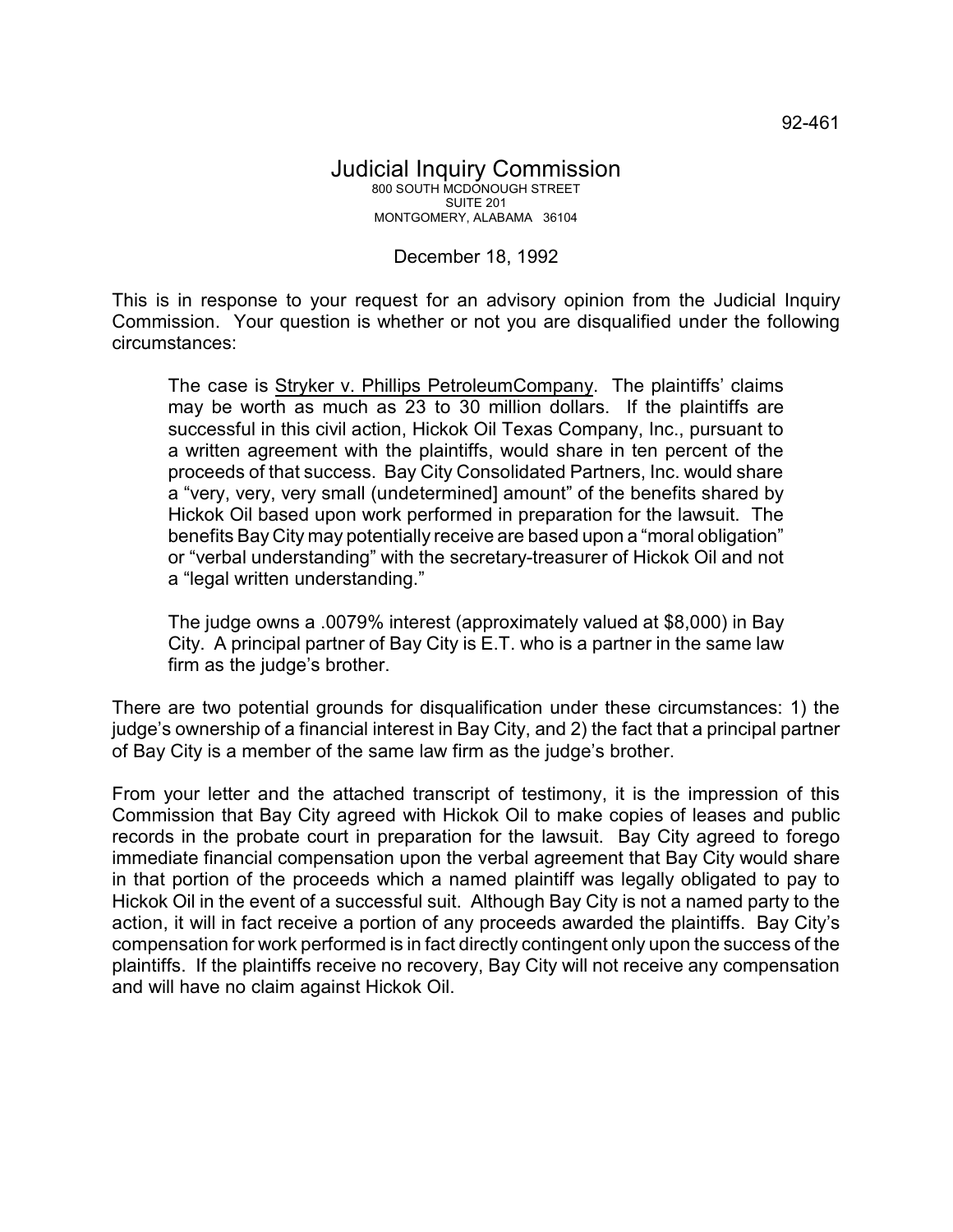## December 18, 1992

This is in response to your request for an advisory opinion from the Judicial Inquiry Commission. Your question is whether or not you are disqualified under the following circumstances:

The case is Stryker v. Phillips PetroleumCompany. The plaintiffs' claims may be worth as much as 23 to 30 million dollars. If the plaintiffs are successful in this civil action, Hickok Oil Texas Company, Inc., pursuant to a written agreement with the plaintiffs, would share in ten percent of the proceeds of that success. Bay City Consolidated Partners, Inc. would share a "very, very, very small (undetermined] amount" of the benefits shared by Hickok Oil based upon work performed in preparation for the lawsuit. The benefits Bay City may potentially receive are based upon a "moral obligation" or "verbal understanding" with the secretary-treasurer of Hickok Oil and not a "legal written understanding."

The judge owns a .0079% interest (approximately valued at \$8,000) in Bay City. A principal partner of Bay City is E.T. who is a partner in the same law firm as the judge's brother.

There are two potential grounds for disqualification under these circumstances: 1) the judge's ownership of a financial interest in Bay City, and 2) the fact that a principal partner of Bay City is a member of the same law firm as the judge's brother.

From your letter and the attached transcript of testimony, it is the impression of this Commission that Bay City agreed with Hickok Oil to make copies of leases and public records in the probate court in preparation for the lawsuit. Bay City agreed to forego immediate financial compensation upon the verbal agreement that Bay City would share in that portion of the proceeds which a named plaintiff was legally obligated to pay to Hickok Oil in the event of a successful suit. Although Bay City is not a named party to the action, it will in fact receive a portion of any proceeds awarded the plaintiffs. Bay City's compensation for work performed is in fact directly contingent only upon the success of the plaintiffs. If the plaintiffs receive no recovery, Bay City will not receive any compensation and will have no claim against Hickok Oil.